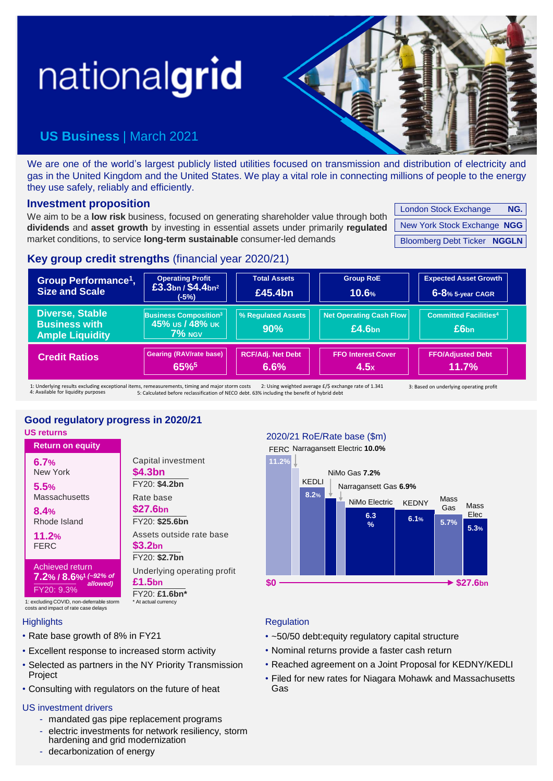# nationalgrid

# **US Business** | March 2021

We are one of the world's largest publicly listed utilities focused on transmission and distribution of electricity and gas in the United Kingdom and the United States. We play a vital role in connecting millions of people to the energy they use safely, reliably and efficiently.

### **Investment proposition**

We aim to be a **low risk** business, focused on generating shareholder value through both **dividends** and **asset growth** by investing in essential assets under primarily **regulated** market conditions, to service **long-term sustainable** consumer-led demands

| <b>London Stock Exchange</b>       | NG. |
|------------------------------------|-----|
| New York Stock Exchange NGG        |     |
| <b>Bloomberg Debt Ticker NGGLN</b> |     |

### **Key group credit strengths** (financial year 2020/21)

| Group Performance <sup>1</sup> ,<br><b>Size and Scale</b>                                       | <b>Operating Profit</b><br>£3.3bn / $$4.4$ bn <sup>2</sup><br>(-5%)     | <b>Total Assets</b><br>£45.4bn   | <b>Group RoE</b><br>10.6%                             | <b>Expected Asset Growth</b><br>6-8% 5-year CAGR |
|-------------------------------------------------------------------------------------------------|-------------------------------------------------------------------------|----------------------------------|-------------------------------------------------------|--------------------------------------------------|
| <b>Diverse, Stable</b><br><b>Business with</b><br><b>Ample Liquidity</b>                        | <b>Business Composition<sup>3</sup></b><br>45% us / 48% uk<br>$7\%$ NGV | <b>% Requiated Assets</b><br>90% | <b>Net Operating Cash Flow</b><br>£4.6 <sub>bn</sub>  | <b>Committed Facilities4</b><br>£6 <sub>bn</sub> |
| <b>Credit Ratios</b>                                                                            | Gearing (RAV/rate base)<br>65%                                          | <b>RCF/Adj. Net Debt</b><br>6.6% | <b>FFO Interest Cover</b><br>4.5x                     | <b>FFO/Adjusted Debt</b><br>$11.7\%$             |
| 1: Underlying results excluding exceptional items, remeasurements, timing and major storm costs |                                                                         |                                  | 2: Using weighted average £/\$ exchange rate of 1.341 | 3: Based on underlying operating profit          |

1: Underlying results excluding exits<br>4: Available for liquidity purposes 1: Underlying results excluding exceptional items, remeasurements, timing and major storm costs 2: Using weighted average £/\$ exchange rate of 1.341<br>4: Available for liquidity purposes 5: Calculated before reclassification

## **Good regulatory progress in 2020/21**

**\$4.3bn** FY20: **\$4.2bn**

Rate base **\$27.6bn**

Capital investment

FY20: **\$25.6bn**

Assets outside rate base

Underlying operating profit

FY20: **\$2.7bn**

FY20: **£1.6bn\***

At actual currency

**\$3.2bn**

**£1.5bn**

**US returns**

**Return on equity** New York **6.7%**

Massachusetts **5.5%**

Rhode Island **8.4%**

FERC **11.2%**

Achieved return **7.2% / 8.6%<sup>1</sup>** *(~92% of*  FY20: 9.3% *allowed)*

1: excluding COVID, non-deferrable storm costs and impact of rate case delays

### **Highlights**

- Rate base growth of 8% in FY21
- Excellent response to increased storm activity
- Selected as partners in the NY Priority Transmission Project
- Consulting with regulators on the future of heat

### US investment drivers

- mandated gas pipe replacement programs
- electric investments for network resiliency, storm hardening and grid modernization - decarbonization of energy

### 2020/21 RoE/Rate base (\$m)

FERC Narragansett Electric 10.0%



### **Regulation**

- ~50/50 debt:equity regulatory capital structure
- Nominal returns provide a faster cash return
- Reached agreement on a Joint Proposal for KEDNY/KEDLI
- Filed for new rates for Niagara Mohawk and Massachusetts Gas

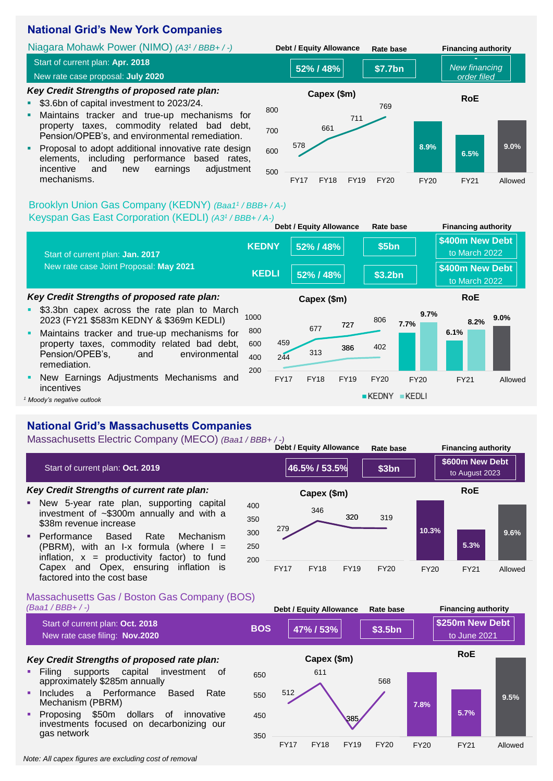### **National Grid's New York Companies**

*Key Credit Strengths of proposed rate plan:* ■ \$3.6bn of capital investment to 2023/24. ▪ Maintains tracker and true-up mechanisms for property taxes, commodity related bad debt, Pension/OPEB's, and environmental remediation. **• Proposal to adopt additional innovative rate design** Niagara Mohawk Power (NIMO) *(A3<sup>1</sup> / BBB+ / -)* **52% / 48% Debt / Equity Allowance Rate base Financing authority \$7.7bn -** *New financing order filed* Start of current plan: **Apr. 2018** New rate case proposal: **July 2020 8.9% 9.0% RoE** 578 661 711 769 700 800 **Capex (\$m)**

elements, including performance based rates, incentive and new earnings adjustment mechanisms.



**Debt / Equity Allowance Rate base Financing authority**

### Brooklyn Union Gas Company (KEDNY) *(Baa1<sup>1</sup> / BBB+ / A-)* Keyspan Gas East Corporation (KEDLI) *(A3<sup>1</sup> / BBB+ / A-)*

| \$400m New Debt<br><b>KEDNY</b><br>52% / 48%<br>\$5bn<br>to March 2022<br>Start of current plan: Jan. 2017<br>New rate case Joint Proposal: May 2021<br>\$400m New Debt<br><b>KEDLI</b><br>52% / 48%<br>\$3.2bn<br>to March 2022<br>Key Credit Strengths of proposed rate plan:<br><b>RoE</b><br>Capex (\$m)<br>\$3.3bn capex across the rate plan to March<br>٠<br>9.7%<br>$9.0\%$<br>1000<br>2023 (FY21 \$583m KEDNY & \$369m KEDLI)<br>806<br>8.2%<br>7.7%<br>727<br>677<br>800<br>6.1%<br>Maintains tracker and true-up mechanisms for<br>٠<br>459<br>property taxes, commodity related bad debt,<br>600<br>402<br>386<br>313<br>Pension/OPEB's,<br>environmental<br>and<br>400<br>244<br>remediation.<br>200<br>New Earnings Adjustments Mechanisms and<br>٠<br><b>FY17</b><br><b>FY18</b><br><b>FY19</b><br><b>FY20</b><br><b>FY20</b><br><b>FY21</b><br>incentives<br>KEDNY<br>KEDLI<br>Moody's negative outlook |  |  | <b>Debt / Equity Allowance</b> | Rate base | <b>Financing authority</b> |         |
|-------------------------------------------------------------------------------------------------------------------------------------------------------------------------------------------------------------------------------------------------------------------------------------------------------------------------------------------------------------------------------------------------------------------------------------------------------------------------------------------------------------------------------------------------------------------------------------------------------------------------------------------------------------------------------------------------------------------------------------------------------------------------------------------------------------------------------------------------------------------------------------------------------------------------|--|--|--------------------------------|-----------|----------------------------|---------|
|                                                                                                                                                                                                                                                                                                                                                                                                                                                                                                                                                                                                                                                                                                                                                                                                                                                                                                                         |  |  |                                |           |                            |         |
|                                                                                                                                                                                                                                                                                                                                                                                                                                                                                                                                                                                                                                                                                                                                                                                                                                                                                                                         |  |  |                                |           |                            |         |
|                                                                                                                                                                                                                                                                                                                                                                                                                                                                                                                                                                                                                                                                                                                                                                                                                                                                                                                         |  |  |                                |           |                            |         |
|                                                                                                                                                                                                                                                                                                                                                                                                                                                                                                                                                                                                                                                                                                                                                                                                                                                                                                                         |  |  |                                |           |                            |         |
|                                                                                                                                                                                                                                                                                                                                                                                                                                                                                                                                                                                                                                                                                                                                                                                                                                                                                                                         |  |  |                                |           |                            | Allowed |
|                                                                                                                                                                                                                                                                                                                                                                                                                                                                                                                                                                                                                                                                                                                                                                                                                                                                                                                         |  |  |                                |           |                            |         |

### **National Grid's Massachusetts Companies**

Massachusetts Electric Company (MECO) *(Baa1 / BBB+ / -)*

**10.3% 5.3% 9.6%** FY20 FY21 Allowed **RoE** *Key Credit Strengths of current rate plan:* **E** New 5-year rate plan, supporting capital investment of ~\$300m annually and with a \$38m revenue increase **• Performance Based Rate Mechanism** (PBRM), with an I-x formula (where  $I =$ inflation,  $x =$  productivity factor) to fund Capex and Opex, ensuring inflation is **46.5% / 53.5% Debt / Equity Allowance Rate base Financing authority \$3bn \$600m New Debt** Start of current plan: Oct. 2019<br> **At any 19th Contract 2023** Start of Current plan: 2023 279 346 320 319 200 250 300 350 400 FY17 FY18 FY19 FY20 **Capex (\$m)**

### Massachusetts Gas / Boston Gas Company (BOS) *(Baa1 / BBB+ / -)*

factored into the cost base

|   |                                                                                                              |            |             | Dept / Equity Allowance |             | Kale Dase   |             | Filianung authority             |         |
|---|--------------------------------------------------------------------------------------------------------------|------------|-------------|-------------------------|-------------|-------------|-------------|---------------------------------|---------|
|   | Start of current plan: Oct. 2018<br>New rate case filing: Nov.2020                                           | <b>BOS</b> |             | 47% / 53%               |             | \$3.5bn     |             | \$250m New Debt<br>to June 2021 |         |
|   | Key Credit Strengths of proposed rate plan:                                                                  |            |             | Capex (\$m)             |             |             |             | <b>RoE</b>                      |         |
| ٠ | Filing<br>supports capital<br>investment<br>of<br>approximately \$285m annually                              | 650        |             | 611                     |             | 568         |             |                                 |         |
| ٠ | a Performance<br>Based<br>Rate<br>Includes<br>Mechanism (PBRM)                                               | 550        | 512         |                         |             |             | 7.8%        |                                 | 9.5%    |
| ٠ | \$50m<br>Proposing<br>dollars<br>0f<br>innovative<br>investments focused on decarbonizing our<br>gas network | 450        |             |                         | 385         |             |             | 5.7%                            |         |
|   |                                                                                                              | 350        | <b>FY17</b> | <b>FY18</b>             | <b>FY19</b> | <b>FY20</b> | <b>FY20</b> | <b>FY21</b>                     | Allowed |

*Note: All capex figures are excluding cost of removal*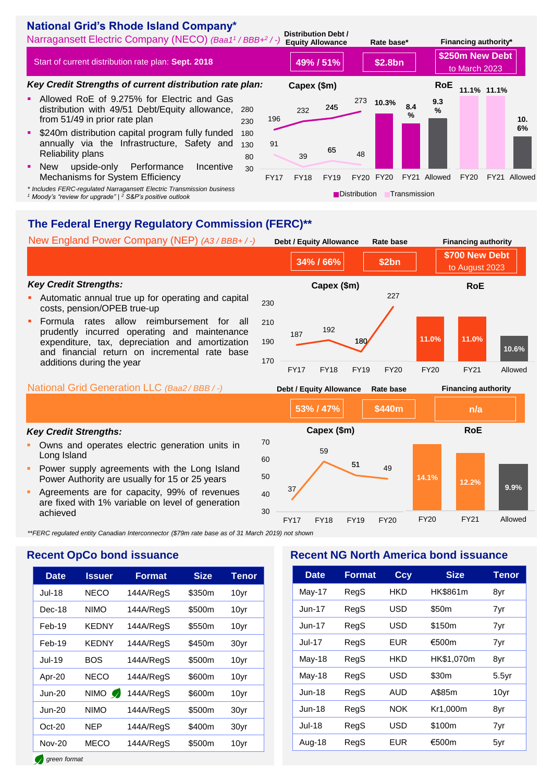### **National Grid's Rhode Island Company\***

Narragansett Electric Company (NECO) *(Baa1<sup>1</sup> / BBB+<sup>2</sup> / -)* **Distribution Debt /** 

Start of current distribution rate plan: **Sept. 2018**

### *Key Credit Strengths of current distribution rate plan:*

- **E** Allowed RoE of 9.275% for Electric and Gas distribution with 49/51 Debt/Equity allowance. from 51/49 in prior rate plan
- **\$240m distribution capital program fully funded** annually via the Infrastructure, Safety and Reliability plans
- New upside-only Performance Incentive Mechanisms for System Efficiency
- *\* Includes FERC-regulated Narragansett Electric Transmission business*

*<sup>1</sup> Moody's "review for upgrade" | <sup>2</sup> S&P's positive outlook*



## **The Federal Energy Regulatory Commission (FERC)\*\***

National Grid Generation LLC *(Baa2 / BBB / -)* **53% / 47% Debt / Equity Allowance Rate base Financing authority \$440m n/a** *Key Credit Strengths:* Automatic annual true up for operating and capital costs, pension/OPEB true-up Formula rates allow reimbursement for all prudently incurred operating and maintenance expenditure, tax, depreciation and amortization and financial return on incremental rate base additions during the year New England Power Company (NEP) *(A3 / BBB+ / -)* **34% / 66% Debt / Equity Allowance Rate base Financing authority \$2bn \$700 New Debt** to August 2023 **11.0% 11.0% 10.6%** FY20 FY21 Allowed **RoE** <sup>187</sup> <sup>192</sup> 180 227 170 190 210 230 FY17 FY18 FY19 FY20 **Capex (\$m)**

### *Key Credit Strengths:*

- **Owns and operates electric generation units in** Long Island
- Power supply agreements with the Long Island Power Authority are usually for 15 or 25 years
- Agreements are for capacity, 99% of revenues are fixed with 1% variable on level of generation achieved



*\*\*FERC regulated entity Canadian Interconnector (\$79m rate base as of 31 March 2019) not shown*

### **Recent OpCo bond issuance**

| <b>Date</b>   | <b>Issuer</b> | Format    | <b>Size</b> | Tenor |
|---------------|---------------|-----------|-------------|-------|
| <b>Jul-18</b> | NECO          | 144A/RegS | \$350m      | 10yr  |
| Dec-18        | <b>NIMO</b>   | 144A/RegS | \$500m      | 10yr  |
| Feb-19        | <b>KEDNY</b>  | 144A/RegS | \$550m      | 10yr  |
| Feb-19        | KEDNY         | 144A/RegS | \$450m      | 30yr  |
| <b>Jul-19</b> | BOS           | 144A/RegS | \$500m      | 10yr  |
| Apr-20        | <b>NECO</b>   | 144A/RegS | \$600m      | 10yr  |
| <b>Jun-20</b> | NIMO <b>O</b> | 144A/RegS | \$600m      | 10yr  |
| $Jun-20$      | <b>NIMO</b>   | 144A/RegS | \$500m      | 30yr  |
| $Oct-20$      | NEP           | 144A/RegS | \$400m      | 30yr  |
| <b>Nov-20</b> | MECO          | 144A/RegS | \$500m      | 10yr  |

### **Recent NG North America bond issuance**

| <b>Date</b>   | <b>Format</b> | Ccy        | <b>Size</b> | <b>Tenor</b> |
|---------------|---------------|------------|-------------|--------------|
| May-17        | RegS          | HKD        | HK\$861m    | 8yr          |
| $J$ un-17     | RegS          | USD        | \$50m       | 7yr          |
| $Jun-17$      | RegS          | USD        | \$150m      | 7yr          |
| <b>Jul-17</b> | RegS          | EUR        | €500m       | 7yr          |
| May-18        | RegS          | HKD        | HK\$1,070m  | 8yr          |
| May-18        | RegS          | USD        | \$30m       | $5.5$ yr     |
| $Jun-18$      | RegS          | AUD        | A\$85m      | 10yr         |
| <b>Jun-18</b> | RegS          | <b>NOK</b> | Kr1,000m    | 8yr          |
| <b>Jul-18</b> | RegS          | USD        | \$100m      | 7yr          |
| Aug-18        | RegS          | EUR        | €500m       | 5yr          |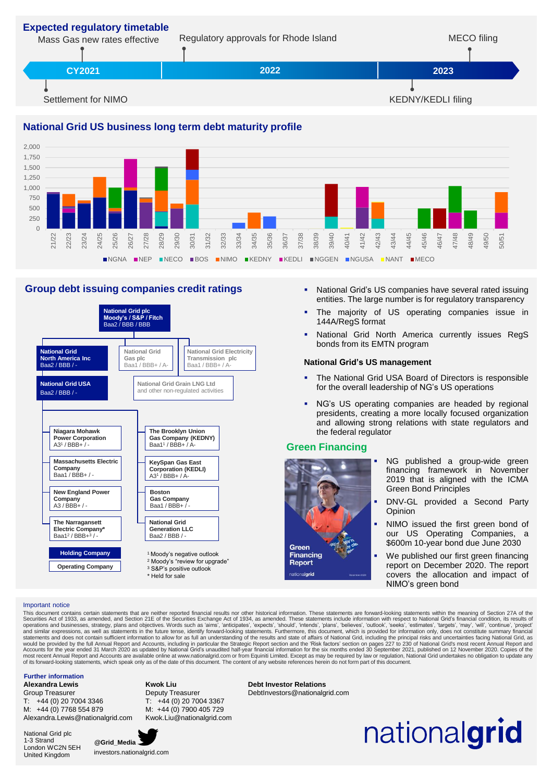

### **National Grid US business long term debt maturity profile**



### **Group debt issuing companies credit ratings**



- **EXECT:** National Grid's US companies have several rated issuing entities. The large number is for regulatory transparency
- **•** The majority of US operating companies issue in 144A/RegS format
- **.** National Grid North America currently issues RegS bonds from its EMTN program

### **National Grid's US management**

- The National Grid USA Board of Directors is responsible for the overall leadership of NG's US operations
- NG's US operating companies are headed by regional presidents, creating a more locally focused organization and allowing strong relations with state regulators and the federal regulator

### **Green Financing**



- NG published a group-wide green financing framework in November 2019 that is aligned with the ICMA Green Bond Principles
- DNV-GL provided a Second Party **Opinion**
- NIMO issued the first green bond of our US Operating Companies, a \$600m 10-year bond due June 2030
- We published our first green financing report on December 2020. The report covers the allocation and impact of NIMO's green bond

Important notice<br>This document contains certain statements that are neither reported financial results nor other historical information. These statements are forward-looking statements within the meaning of Section 27A of This document contains certain statements that are neither reported financial results nor other historical information. These statements are forward-looking statements within the meaning of Section 27A of the Securities Ac

#### **Further information**

**Alexandra Lewis** Group Treasurer

T: +44 (0) 20 7004 3346 M: +44 (0) 7768 554 879 Alexandra.Lewis@nationalgrid.com

National Grid plc 1-3 Strand London WC2N 5EH United Kingdom



**Kwok Liu**

investors.nationalgrid.com

Deputy Treasurer T: +44 (0) 20 7004 3367 M: +44 (0) 7900 405 729 Kwok.Liu@nationalgrid.com **Debt Investor Relations** DebtInvestors@nationalgrid.com

# nationalgrid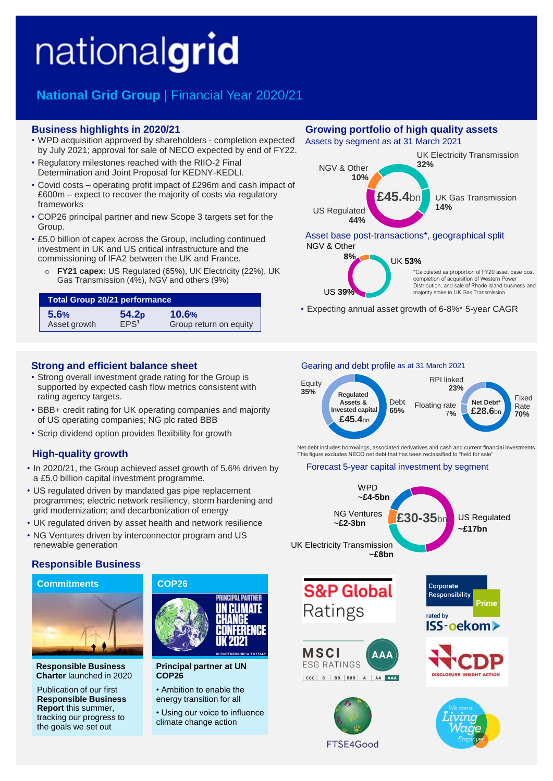# nationalgrid

# **National Grid Group** | Financial Year 2020/21

### **Business highlights in 2020/21**

- WPD acquisition approved by shareholders completion expected by July 2021; approval for sale of NECO expected by end of FY22.
- Regulatory milestones reached with the RIIO-2 Final Determination and Joint Proposal for KEDNY-KEDLI.
- Covid costs operating profit impact of £296m and cash impact of £600m – expect to recover the majority of costs via regulatory frameworks
- COP26 principal partner and new Scope 3 targets set for the Group.
- £5.0 billion of capex across the Group, including continued investment in UK and US critical infrastructure and the commissioning of IFA2 between the UK and France.
	- o **FY21 capex:** US Regulated (65%), UK Electricity (22%), UK Gas Transmission (4%), NGV and others (9%)

| <b>Total Group 20/21 performance</b> |                   |                        |  |  |
|--------------------------------------|-------------------|------------------------|--|--|
| 5.6%                                 | 54.2 <sub>p</sub> | 10.6%                  |  |  |
| Asset growth                         | EPS <sup>1</sup>  | Group return on equity |  |  |

### **Strong and efficient balance sheet**

- Strong overall investment grade rating for the Group is supported by expected cash flow metrics consistent with rating agency targets.
- BBB+ credit rating for UK operating companies and majority of US operating companies; NG plc rated BBB
- Scrip dividend option provides flexibility for growth

### **High-quality growth**

- In 2020/21, the Group achieved asset growth of 5.6% driven by a £5.0 billion capital investment programme.
- US regulated driven by mandated gas pipe replacement programmes; electric network resiliency, storm hardening and grid modernization; and decarbonization of energy
- UK regulated driven by asset health and network resilience
- NG Ventures driven by interconnector program and US renewable generation

### **Responsible Business**



**Responsible Business Charter** launched in 2020

Publication of our first **Responsible Business Report** this summer, tracking our progress to the goals we set out



**Principal partner at UN COP26**

- Ambition to enable the energy transition for all
- Using our voice to influence climate change action

### **Growing portfolio of high quality assets**

Assets by segment as at 31 March 2021



### Asset base post-transactions\*, geographical split NGV & Other



\*Calculated as proportion of FY20 asset base post completion of acquisition of Western Power Distribution, and sale of Rhode Island business and majority stake in UK Gas Transmission.

• Expecting annual asset growth of 6-8%\* 5-year CAGR

#### Fixed Rate **£28.6**bn **70% Floating rate** 7**%** Debt **65%** Equity **35%** RPI linked **23% Regulated Assets & Invested capital** Gearing and debt profile as at 31 March 2021 **£45.4**bn

Net debt includes borrowings, associated derivatives and cash and current financial investments. This figure excludes NECO net debt that has been reclassified to "held for sale

### Forecast 5-year capital investment by segment



FTSE4Good